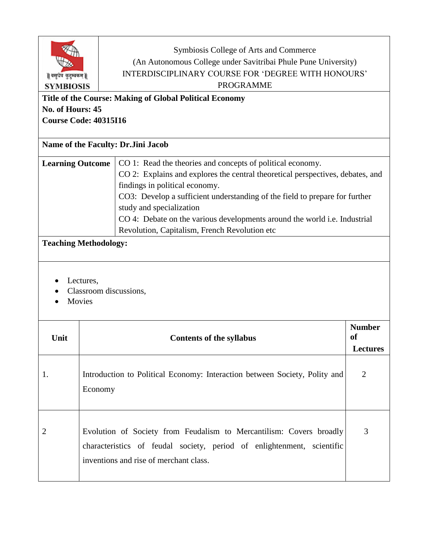|                                          |                                                                                                                                                                                         | Symbiosis College of Arts and Commerce<br>(An Autonomous College under Savitribai Phule Pune University)<br>INTERDISCIPLINARY COURSE FOR 'DEGREE WITH HONOURS' |                 |  |  |
|------------------------------------------|-----------------------------------------------------------------------------------------------------------------------------------------------------------------------------------------|----------------------------------------------------------------------------------------------------------------------------------------------------------------|-----------------|--|--|
| वसुधैव कुटुम्बकम्   <br><b>SYMBIOSIS</b> |                                                                                                                                                                                         | <b>PROGRAMME</b>                                                                                                                                               |                 |  |  |
|                                          |                                                                                                                                                                                         |                                                                                                                                                                |                 |  |  |
| No. of Hours: 45                         |                                                                                                                                                                                         | Title of the Course: Making of Global Political Economy                                                                                                        |                 |  |  |
|                                          | <b>Course Code: 40315I16</b>                                                                                                                                                            |                                                                                                                                                                |                 |  |  |
|                                          |                                                                                                                                                                                         |                                                                                                                                                                |                 |  |  |
|                                          | Name of the Faculty: Dr.Jini Jacob                                                                                                                                                      |                                                                                                                                                                |                 |  |  |
| <b>Learning Outcome</b>                  |                                                                                                                                                                                         | CO 1: Read the theories and concepts of political economy.                                                                                                     |                 |  |  |
|                                          |                                                                                                                                                                                         | CO 2: Explains and explores the central theoretical perspectives, debates, and                                                                                 |                 |  |  |
|                                          |                                                                                                                                                                                         | findings in political economy.                                                                                                                                 |                 |  |  |
|                                          |                                                                                                                                                                                         | CO3: Develop a sufficient understanding of the field to prepare for further                                                                                    |                 |  |  |
|                                          |                                                                                                                                                                                         | study and specialization                                                                                                                                       |                 |  |  |
|                                          |                                                                                                                                                                                         | CO 4: Debate on the various developments around the world <i>i.e.</i> Industrial                                                                               |                 |  |  |
|                                          |                                                                                                                                                                                         | Revolution, Capitalism, French Revolution etc                                                                                                                  |                 |  |  |
|                                          | <b>Teaching Methodology:</b>                                                                                                                                                            |                                                                                                                                                                |                 |  |  |
|                                          |                                                                                                                                                                                         |                                                                                                                                                                |                 |  |  |
|                                          | Lectures,<br>Classroom discussions,<br>Movies                                                                                                                                           |                                                                                                                                                                |                 |  |  |
|                                          |                                                                                                                                                                                         |                                                                                                                                                                | <b>Number</b>   |  |  |
| Unit                                     |                                                                                                                                                                                         | <b>Contents of the syllabus</b>                                                                                                                                | of              |  |  |
|                                          |                                                                                                                                                                                         |                                                                                                                                                                | <b>Lectures</b> |  |  |
| 1.                                       | Introduction to Political Economy: Interaction between Society, Polity and<br>Economy                                                                                                   |                                                                                                                                                                | 2               |  |  |
| 2                                        | Evolution of Society from Feudalism to Mercantilism: Covers broadly<br>characteristics of feudal society, period of enlightenment, scientific<br>inventions and rise of merchant class. |                                                                                                                                                                |                 |  |  |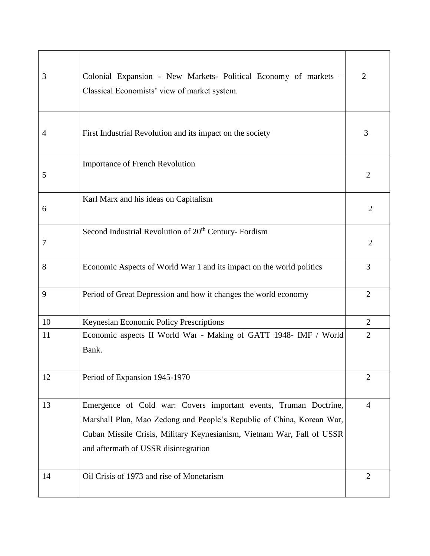| 3  | Colonial Expansion - New Markets- Political Economy of markets -<br>Classical Economists' view of market system.                                                                                                                                            | $\overline{2}$ |
|----|-------------------------------------------------------------------------------------------------------------------------------------------------------------------------------------------------------------------------------------------------------------|----------------|
| 4  | First Industrial Revolution and its impact on the society                                                                                                                                                                                                   | 3              |
| 5  | <b>Importance of French Revolution</b>                                                                                                                                                                                                                      | $\overline{2}$ |
| 6  | Karl Marx and his ideas on Capitalism                                                                                                                                                                                                                       | $\overline{2}$ |
| 7  | Second Industrial Revolution of 20 <sup>th</sup> Century- Fordism                                                                                                                                                                                           | $\overline{2}$ |
| 8  | Economic Aspects of World War 1 and its impact on the world politics                                                                                                                                                                                        | 3              |
| 9  | Period of Great Depression and how it changes the world economy                                                                                                                                                                                             | $\overline{2}$ |
| 10 | Keynesian Economic Policy Prescriptions                                                                                                                                                                                                                     | $\overline{2}$ |
| 11 | Economic aspects II World War - Making of GATT 1948- IMF / World<br>Bank.                                                                                                                                                                                   | $\overline{2}$ |
| 12 | Period of Expansion 1945-1970                                                                                                                                                                                                                               | $\overline{2}$ |
| 13 | Emergence of Cold war: Covers important events, Truman Doctrine,<br>Marshall Plan, Mao Zedong and People's Republic of China, Korean War,<br>Cuban Missile Crisis, Military Keynesianism, Vietnam War, Fall of USSR<br>and aftermath of USSR disintegration | $\overline{4}$ |
| 14 | Oil Crisis of 1973 and rise of Monetarism                                                                                                                                                                                                                   | $\overline{2}$ |